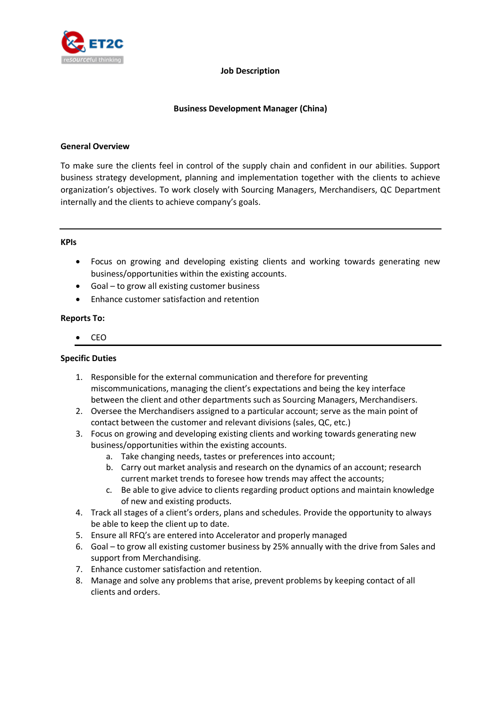

### **Job Description**

# **Business Development Manager (China)**

## **General Overview**

To make sure the clients feel in control of the supply chain and confident in our abilities. Support business strategy development, planning and implementation together with the clients to achieve organization's objectives. To work closely with Sourcing Managers, Merchandisers, QC Department internally and the clients to achieve company's goals.

### **KPIs**

- Focus on growing and developing existing clients and working towards generating new business/opportunities within the existing accounts.
- Goal to grow all existing customer business
- Enhance customer satisfaction and retention

## **Reports To:**

CEO

## **Specific Duties**

- 1. Responsible for the external communication and therefore for preventing miscommunications, managing the client's expectations and being the key interface between the client and other departments such as Sourcing Managers, Merchandisers.
- 2. Oversee the Merchandisers assigned to a particular account; serve as the main point of contact between the customer and relevant divisions (sales, QC, etc.)
- 3. Focus on growing and developing existing clients and working towards generating new business/opportunities within the existing accounts.
	- a. Take changing needs, tastes or preferences into account;
	- b. Carry out market analysis and research on the dynamics of an account; research current market trends to foresee how trends may affect the accounts;
	- c. Be able to give advice to clients regarding product options and maintain knowledge of new and existing products.
- 4. Track all stages of a client's orders, plans and schedules. Provide the opportunity to always be able to keep the client up to date.
- 5. Ensure all RFQ's are entered into Accelerator and properly managed
- 6. Goal to grow all existing customer business by 25% annually with the drive from Sales and support from Merchandising.
- 7. Enhance customer satisfaction and retention.
- 8. Manage and solve any problems that arise, prevent problems by keeping contact of all clients and orders.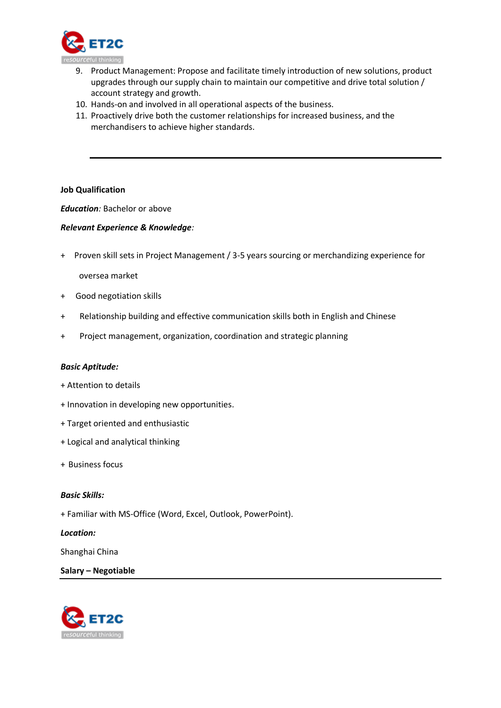

- 9. Product Management: Propose and facilitate timely introduction of new solutions, product upgrades through our supply chain to maintain our competitive and drive total solution / account strategy and growth.
- 10. Hands-on and involved in all operational aspects of the business.
- 11. Proactively drive both the customer relationships for increased business, and the merchandisers to achieve higher standards.

## **Job Qualification**

*Education:* Bachelor or above

### *Relevant Experience & Knowledge:*

+ Proven skill sets in Project Management / 3-5 years sourcing or merchandizing experience for

oversea market

- + Good negotiation skills
- + Relationship building and effective communication skills both in English and Chinese
- + Project management, organization, coordination and strategic planning

#### *Basic Aptitude:*

- + Attention to details
- + Innovation in developing new opportunities.
- + Target oriented and enthusiastic
- + Logical and analytical thinking
- + Business focus

#### *Basic Skills:*

+ Familiar with MS-Office (Word, Excel, Outlook, PowerPoint).

#### *Location:*

Shanghai China

## **Salary – Negotiable**